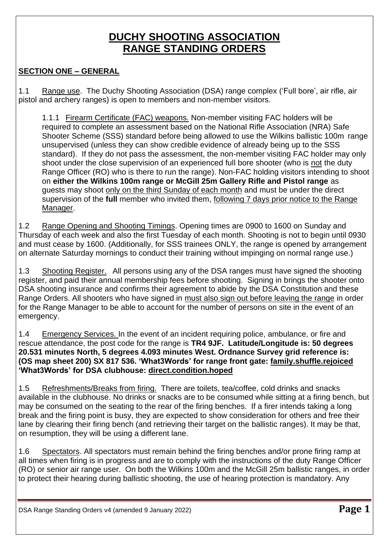# **DUCHY SHOOTING ASSOCIATION RANGE STANDING ORDERS**

# **SECTION ONE – GENERAL**

1.1 Range use. The Duchy Shooting Association (DSA) range complex ('Full bore', air rifle, air pistol and archery ranges) is open to members and non-member visitors.

1.1.1 Firearm Certificate (FAC) weapons. Non-member visiting FAC holders will be required to complete an assessment based on the National Rifle Association (NRA) Safe Shooter Scheme (SSS) standard before being allowed to use the Wilkins ballistic 100m range unsupervised (unless they can show credible evidence of already being up to the SSS standard). If they do not pass the assessment, the non-member visiting FAC holder may only shoot under the close supervision of an experienced full bore shooter (who is not the duty Range Officer (RO) who is there to run the range). Non-FAC holding visitors intending to shoot on **either the Wilkins 100m range or McGill 25m Gallery Rifle and Pistol range** as guests may shoot only on the third Sunday of each month and must be under the direct supervision of the **full** member who invited them, following 7 days prior notice to the Range Manager.

1.2 Range Opening and Shooting Timings. Opening times are 0900 to 1600 on Sunday and Thursday of each week and also the first Tuesday of each month. Shooting is not to begin until 0930 and must cease by 1600. (Additionally, for SSS trainees ONLY, the range is opened by arrangement on alternate Saturday mornings to conduct their training without impinging on normal range use.)

1.3 Shooting Register. All persons using any of the DSA ranges must have signed the shooting register, and paid their annual membership fees before shooting. Signing in brings the shooter onto DSA shooting insurance and confirms their agreement to abide by the DSA Constitution and these Range Orders. All shooters who have signed in must also sign out before leaving the range in order for the Range Manager to be able to account for the number of persons on site in the event of an emergency.

1.4 Emergency Services. In the event of an incident requiring police, ambulance, or fire and rescue attendance, the post code for the range is **TR4 9JF. Latitude/Longitude is: 50 degrees 20.531 minutes North, 5 degrees 4.093 minutes West. Ordnance Survey grid reference is: (OS map sheet 200) SX 817 536. 'What3Words' for range front gate: family.shuffle.rejoiced 'What3Words' for DSA clubhouse: direct.condition.hoped**

1.5 Refreshments/Breaks from firing. There are toilets, tea/coffee, cold drinks and snacks available in the clubhouse. No drinks or snacks are to be consumed while sitting at a firing bench, but may be consumed on the seating to the rear of the firing benches. If a firer intends taking a long break and the firing point is busy, they are expected to show consideration for others and free their lane by clearing their firing bench (and retrieving their target on the ballistic ranges). It may be that, on resumption, they will be using a different lane.

1.6 Spectators. All spectators must remain behind the firing benches and/or prone firing ramp at all times when firing is in progress and are to comply with the instructions of the duty Range Officer (RO) or senior air range user. On both the Wilkins 100m and the McGill 25m ballistic ranges, in order to protect their hearing during ballistic shooting, the use of hearing protection is mandatory. Any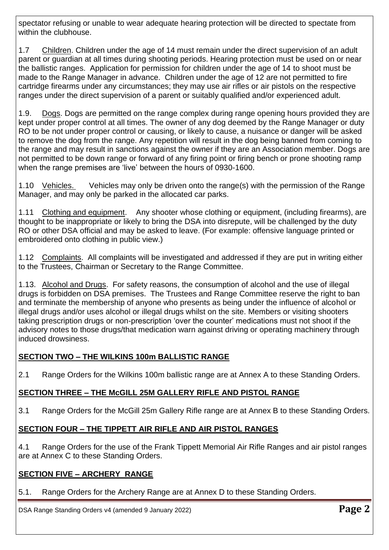spectator refusing or unable to wear adequate hearing protection will be directed to spectate from within the clubhouse.

1.7 Children. Children under the age of 14 must remain under the direct supervision of an adult parent or guardian at all times during shooting periods. Hearing protection must be used on or near the ballistic ranges. Application for permission for children under the age of 14 to shoot must be made to the Range Manager in advance. Children under the age of 12 are not permitted to fire cartridge firearms under any circumstances; they may use air rifles or air pistols on the respective ranges under the direct supervision of a parent or suitably qualified and/or experienced adult.

1.9. Dogs. Dogs are permitted on the range complex during range opening hours provided they are kept under proper control at all times. The owner of any dog deemed by the Range Manager or duty RO to be not under proper control or causing, or likely to cause, a nuisance or danger will be asked to remove the dog from the range. Any repetition will result in the dog being banned from coming to the range and may result in sanctions against the owner if they are an Association member. Dogs are not permitted to be down range or forward of any firing point or firing bench or prone shooting ramp when the range premises are 'live' between the hours of 0930-1600.

1.10 Vehicles. Vehicles may only be driven onto the range(s) with the permission of the Range Manager, and may only be parked in the allocated car parks.

1.11 Clothing and equipment. Any shooter whose clothing or equipment, (including firearms), are thought to be inappropriate or likely to bring the DSA into disrepute, will be challenged by the duty RO or other DSA official and may be asked to leave. (For example: offensive language printed or embroidered onto clothing in public view.)

1.12 Complaints. All complaints will be investigated and addressed if they are put in writing either to the Trustees, Chairman or Secretary to the Range Committee.

1.13. Alcohol and Drugs. For safety reasons, the consumption of alcohol and the use of illegal drugs is forbidden on DSA premises. The Trustees and Range Committee reserve the right to ban and terminate the membership of anyone who presents as being under the influence of alcohol or illegal drugs and/or uses alcohol or illegal drugs whilst on the site. Members or visiting shooters taking prescription drugs or non-prescription 'over the counter' medications must not shoot if the advisory notes to those drugs/that medication warn against driving or operating machinery through induced drowsiness.

# **SECTION TWO – THE WILKINS 100m BALLISTIC RANGE**

2.1 Range Orders for the Wilkins 100m ballistic range are at Annex A to these Standing Orders.

# **SECTION THREE – THE McGILL 25M GALLERY RIFLE AND PISTOL RANGE**

3.1 Range Orders for the McGill 25m Gallery Rifle range are at Annex B to these Standing Orders.

# **SECTION FOUR – THE TIPPETT AIR RIFLE AND AIR PISTOL RANGES**

4.1 Range Orders for the use of the Frank Tippett Memorial Air Rifle Ranges and air pistol ranges are at Annex C to these Standing Orders.

# **SECTION FIVE – ARCHERY RANGE**

5.1. Range Orders for the Archery Range are at Annex D to these Standing Orders.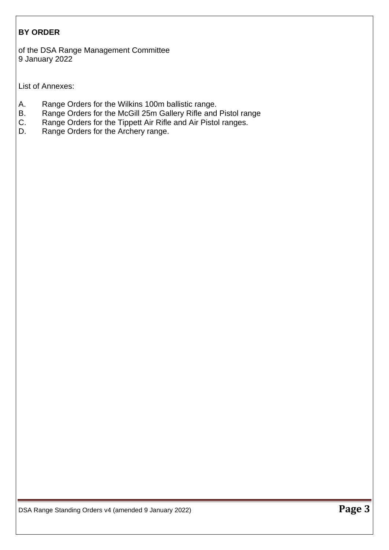# **BY ORDER**

of the DSA Range Management Committee 9 January 2022

List of Annexes:

- A. Range Orders for the Wilkins 100m ballistic range.
- B. Range Orders for the McGill 25m Gallery Rifle and Pistol range<br>C. Range Orders for the Tippett Air Rifle and Air Pistol ranges.
- Range Orders for the Tippett Air Rifle and Air Pistol ranges.
- D. Range Orders for the Archery range.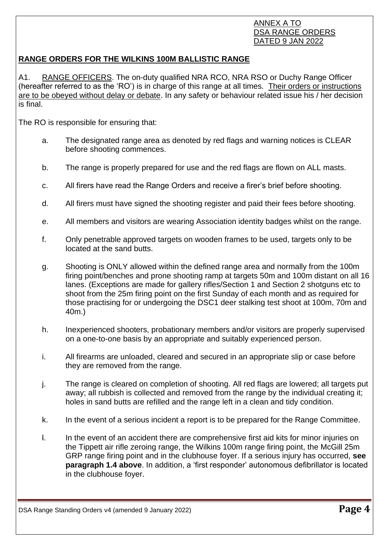### ANNEX A TO DSA RANGE ORDERS DATED 9 JAN 2022

# **RANGE ORDERS FOR THE WILKINS 100M BALLISTIC RANGE**

A1. RANGE OFFICERS. The on-duty qualified NRA RCO, NRA RSO or Duchy Range Officer (hereafter referred to as the 'RO') is in charge of this range at all times. Their orders or instructions are to be obeyed without delay or debate. In any safety or behaviour related issue his / her decision is final.

The RO is responsible for ensuring that:

- a. The designated range area as denoted by red flags and warning notices is CLEAR before shooting commences.
- b. The range is properly prepared for use and the red flags are flown on ALL masts.
- c. All firers have read the Range Orders and receive a firer's brief before shooting.
- d. All firers must have signed the shooting register and paid their fees before shooting.
- e. All members and visitors are wearing Association identity badges whilst on the range.
- f. Only penetrable approved targets on wooden frames to be used, targets only to be located at the sand butts.
- g. Shooting is ONLY allowed within the defined range area and normally from the 100m firing point/benches and prone shooting ramp at targets 50m and 100m distant on all 16 lanes. (Exceptions are made for gallery rifles/Section 1 and Section 2 shotguns etc to shoot from the 25m firing point on the first Sunday of each month and as required for those practising for or undergoing the DSC1 deer stalking test shoot at 100m, 70m and 40m.)
- h. Inexperienced shooters, probationary members and/or visitors are properly supervised on a one-to-one basis by an appropriate and suitably experienced person.
- i. All firearms are unloaded, cleared and secured in an appropriate slip or case before they are removed from the range.
- j. The range is cleared on completion of shooting. All red flags are lowered; all targets put away; all rubbish is collected and removed from the range by the individual creating it; holes in sand butts are refilled and the range left in a clean and tidy condition.
- k. In the event of a serious incident a report is to be prepared for the Range Committee.
- l. In the event of an accident there are comprehensive first aid kits for minor injuries on the Tippett air rifle zeroing range, the Wilkins 100m range firing point, the McGill 25m GRP range firing point and in the clubhouse foyer. If a serious injury has occurred, **see paragraph 1.4 above**. In addition, a 'first responder' autonomous defibrillator is located in the clubhouse foyer.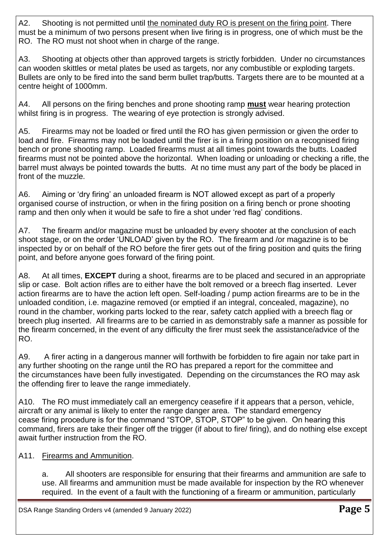A2. Shooting is not permitted until the nominated duty RO is present on the firing point. There must be a minimum of two persons present when live firing is in progress, one of which must be the RO. The RO must not shoot when in charge of the range.

A3. Shooting at objects other than approved targets is strictly forbidden. Under no circumstances can wooden skittles or metal plates be used as targets, nor any combustible or exploding targets. Bullets are only to be fired into the sand berm bullet trap/butts. Targets there are to be mounted at a centre height of 1000mm.

A4. All persons on the firing benches and prone shooting ramp **must** wear hearing protection whilst firing is in progress. The wearing of eye protection is strongly advised.

A5. Firearms may not be loaded or fired until the RO has given permission or given the order to load and fire. Firearms may not be loaded until the firer is in a firing position on a recognised firing bench or prone shooting ramp. Loaded firearms must at all times point towards the butts. Loaded firearms must not be pointed above the horizontal. When loading or unloading or checking a rifle, the barrel must always be pointed towards the butts. At no time must any part of the body be placed in front of the muzzle.

A6. Aiming or 'dry firing' an unloaded firearm is NOT allowed except as part of a properly organised course of instruction, or when in the firing position on a firing bench or prone shooting ramp and then only when it would be safe to fire a shot under 'red flag' conditions.

A7. The firearm and/or magazine must be unloaded by every shooter at the conclusion of each shoot stage, or on the order 'UNLOAD' given by the RO. The firearm and /or magazine is to be inspected by or on behalf of the RO before the firer gets out of the firing position and quits the firing point, and before anyone goes forward of the firing point.

A8. At all times, **EXCEPT** during a shoot, firearms are to be placed and secured in an appropriate slip or case. Bolt action rifles are to either have the bolt removed or a breech flag inserted. Lever action firearms are to have the action left open. Self-loading / pump action firearms are to be in the unloaded condition, i.e. magazine removed (or emptied if an integral, concealed, magazine), no round in the chamber, working parts locked to the rear, safety catch applied with a breech flag or breech plug inserted. All firearms are to be carried in as demonstrably safe a manner as possible for the firearm concerned, in the event of any difficulty the firer must seek the assistance/advice of the RO.

A9. A firer acting in a dangerous manner will forthwith be forbidden to fire again nor take part in any further shooting on the range until the RO has prepared a report for the committee and the circumstances have been fully investigated. Depending on the circumstances the RO may ask the offending firer to leave the range immediately.

A10. The RO must immediately call an emergency ceasefire if it appears that a person, vehicle, aircraft or any animal is likely to enter the range danger area. The standard emergency cease firing procedure is for the command "STOP, STOP, STOP" to be given. On hearing this command, firers are take their finger off the trigger (if about to fire/ firing), and do nothing else except await further instruction from the RO.

# A11. Firearms and Ammunition.

a. All shooters are responsible for ensuring that their firearms and ammunition are safe to use. All firearms and ammunition must be made available for inspection by the RO whenever required. In the event of a fault with the functioning of a firearm or ammunition, particularly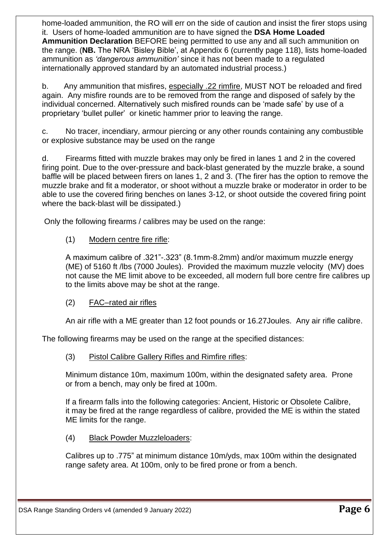home-loaded ammunition, the RO will err on the side of caution and insist the firer stops using it. Users of home-loaded ammunition are to have signed the **DSA Home Loaded Ammunition Declaration** BEFORE being permitted to use any and all such ammunition on the range. (**NB.** The NRA 'Bisley Bible', at Appendix 6 (currently page 118), lists home-loaded ammunition as *'dangerous ammunition'* since it has not been made to a regulated internationally approved standard by an automated industrial process.)

b. Any ammunition that misfires, especially .22 rimfire, MUST NOT be reloaded and fired again. Any misfire rounds are to be removed from the range and disposed of safely by the individual concerned. Alternatively such misfired rounds can be 'made safe' by use of a proprietary 'bullet puller' or kinetic hammer prior to leaving the range.

c. No tracer, incendiary, armour piercing or any other rounds containing any combustible or explosive substance may be used on the range

d. Firearms fitted with muzzle brakes may only be fired in lanes 1 and 2 in the covered firing point. Due to the over-pressure and back-blast generated by the muzzle brake, a sound baffle will be placed between firers on lanes 1, 2 and 3. (The firer has the option to remove the muzzle brake and fit a moderator, or shoot without a muzzle brake or moderator in order to be able to use the covered firing benches on lanes 3-12, or shoot outside the covered firing point where the back-blast will be dissipated.)

Only the following firearms / calibres may be used on the range:

# (1) Modern centre fire rifle:

A maximum calibre of .321"-.323" (8.1mm-8.2mm) and/or maximum muzzle energy (ME) of 5160 ft /lbs (7000 Joules). Provided the maximum muzzle velocity (MV) does not cause the ME limit above to be exceeded, all modern full bore centre fire calibres up to the limits above may be shot at the range.

# (2) FAC–rated air rifles

An air rifle with a ME greater than 12 foot pounds or 16.27Joules. Any air rifle calibre.

The following firearms may be used on the range at the specified distances:

# (3) Pistol Calibre Gallery Rifles and Rimfire rifles:

Minimum distance 10m, maximum 100m, within the designated safety area. Prone or from a bench, may only be fired at 100m.

If a firearm falls into the following categories: Ancient, Historic or Obsolete Calibre, it may be fired at the range regardless of calibre, provided the ME is within the stated ME limits for the range.

(4) Black Powder Muzzleloaders:

Calibres up to .775" at minimum distance 10m/yds, max 100m within the designated range safety area. At 100m, only to be fired prone or from a bench.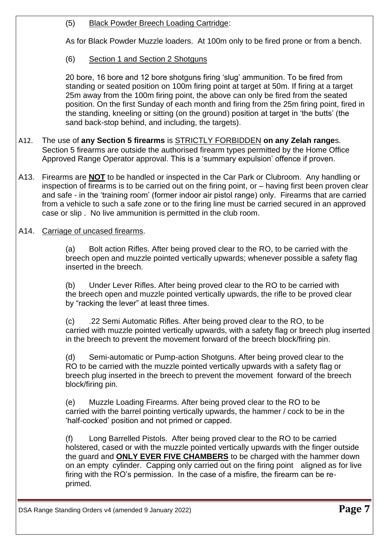### (5) Black Powder Breech Loading Cartridge:

As for Black Powder Muzzle loaders. At 100m only to be fired prone or from a bench.

(6) Section 1 and Section 2 Shotguns

20 bore, 16 bore and 12 bore shotguns firing 'slug' ammunition. To be fired from standing or seated position on 100m firing point at target at 50m. If firing at a target 25m away from the 100m firing point, the above can only be fired from the seated position. On the first Sunday of each month and firing from the 25m firing point, fired in the standing, kneeling or sitting (on the ground) position at target in 'the butts' (the sand back-stop behind, and including, the targets).

- A12. The use of **any Section 5 firearms** is STRICTLY FORBIDDEN **on any Zelah range**s. Section 5 firearms are outside the authorised firearm types permitted by the Home Office Approved Range Operator approval. This is a 'summary expulsion' offence if proven.
- A13. Firearms are **NOT** to be handled or inspected in the Car Park or Clubroom. Any handling or inspection of firearms is to be carried out on the firing point, or – having first been proven clear and safe - in the 'training room' (former indoor air pistol range) only. Firearms that are carried from a vehicle to such a safe zone or to the firing line must be carried secured in an approved case or slip . No live ammunition is permitted in the club room.
- A14. Carriage of uncased firearms.

(a) Bolt action Rifles. After being proved clear to the RO, to be carried with the breech open and muzzle pointed vertically upwards; whenever possible a safety flag inserted in the breech.

(b) Under Lever Rifles. After being proved clear to the RO to be carried with the breech open and muzzle pointed vertically upwards, the rifle to be proved clear by "racking the lever" at least three times.

(c) .22 Semi Automatic Rifles. After being proved clear to the RO, to be carried with muzzle pointed vertically upwards, with a safety flag or breech plug inserted in the breech to prevent the movement forward of the breech block/firing pin.

(d) Semi-automatic or Pump-action Shotguns. After being proved clear to the RO to be carried with the muzzle pointed vertically upwards with a safety flag or breech plug inserted in the breech to prevent the movement forward of the breech block/firing pin.

(e) Muzzle Loading Firearms. After being proved clear to the RO to be carried with the barrel pointing vertically upwards, the hammer / cock to be in the 'half-cocked' position and not primed or capped.

(f) Long Barrelled Pistols. After being proved clear to the RO to be carried holstered, cased or with the muzzle pointed vertically upwards with the finger outside the guard and **ONLY EVER FIVE CHAMBERS** to be charged with the hammer down on an empty cylinder. Capping only carried out on the firing point aligned as for live firing with the RO's permission. In the case of a misfire, the firearm can be reprimed.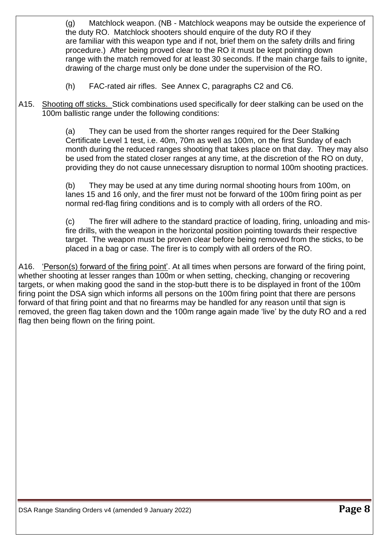(g) Matchlock weapon. (NB - Matchlock weapons may be outside the experience of the duty RO. Matchlock shooters should enquire of the duty RO if they are familiar with this weapon type and if not, brief them on the safety drills and firing procedure.) After being proved clear to the RO it must be kept pointing down range with the match removed for at least 30 seconds. If the main charge fails to ignite, drawing of the charge must only be done under the supervision of the RO.

- (h) FAC-rated air rifles. See Annex C, paragraphs C2 and C6.
- A15. Shooting off sticks. Stick combinations used specifically for deer stalking can be used on the 100m ballistic range under the following conditions:

(a) They can be used from the shorter ranges required for the Deer Stalking Certificate Level 1 test, i.e. 40m, 70m as well as 100m, on the first Sunday of each month during the reduced ranges shooting that takes place on that day. They may also be used from the stated closer ranges at any time, at the discretion of the RO on duty, providing they do not cause unnecessary disruption to normal 100m shooting practices.

(b) They may be used at any time during normal shooting hours from 100m, on lanes 15 and 16 only, and the firer must not be forward of the 100m firing point as per normal red-flag firing conditions and is to comply with all orders of the RO.

(c) The firer will adhere to the standard practice of loading, firing, unloading and misfire drills, with the weapon in the horizontal position pointing towards their respective target. The weapon must be proven clear before being removed from the sticks, to be placed in a bag or case. The firer is to comply with all orders of the RO.

A16. 'Person(s) forward of the firing point'. At all times when persons are forward of the firing point, whether shooting at lesser ranges than 100m or when setting, checking, changing or recovering targets, or when making good the sand in the stop-butt there is to be displayed in front of the 100m firing point the DSA sign which informs all persons on the 100m firing point that there are persons forward of that firing point and that no firearms may be handled for any reason until that sign is removed, the green flag taken down and the 100m range again made 'live' by the duty RO and a red flag then being flown on the firing point.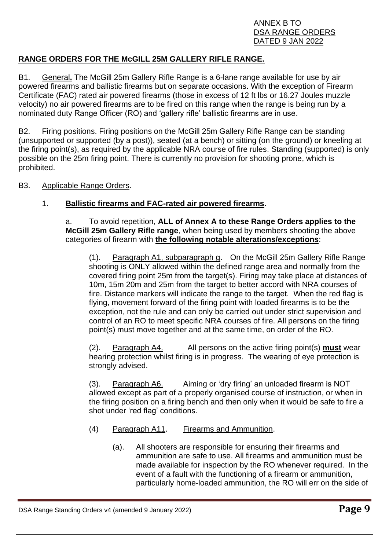### ANNEX B TO DSA RANGE ORDERS DATED 9 JAN 2022

# **RANGE ORDERS FOR THE McGILL 25M GALLERY RIFLE RANGE.**

B1. General**.** The McGill 25m Gallery Rifle Range is a 6-lane range available for use by air powered firearms and ballistic firearms but on separate occasions. With the exception of Firearm Certificate (FAC) rated air powered firearms (those in excess of 12 ft lbs or 16.27 Joules muzzle velocity) no air powered firearms are to be fired on this range when the range is being run by a nominated duty Range Officer (RO) and 'gallery rifle' ballistic firearms are in use.

B2. Firing positions. Firing positions on the McGill 25m Gallery Rifle Range can be standing (unsupported or supported (by a post)), seated (at a bench) or sitting (on the ground) or kneeling at the firing point(s), as required by the applicable NRA course of fire rules. Standing (supported) is only possible on the 25m firing point. There is currently no provision for shooting prone, which is prohibited.

B3. Applicable Range Orders.

# 1. **Ballistic firearms and FAC-rated air powered firearms**.

a. To avoid repetition, **ALL of Annex A to these Range Orders applies to the McGill 25m Gallery Rifle range**, when being used by members shooting the above categories of firearm with **the following notable alterations/exceptions**:

(1). Paragraph A1, subparagraph g. On the McGill 25m Gallery Rifle Range shooting is ONLY allowed within the defined range area and normally from the covered firing point 25m from the target(s). Firing may take place at distances of 10m, 15m 20m and 25m from the target to better accord with NRA courses of fire. Distance markers will indicate the range to the target. When the red flag is flying, movement forward of the firing point with loaded firearms is to be the exception, not the rule and can only be carried out under strict supervision and control of an RO to meet specific NRA courses of fire. All persons on the firing point(s) must move together and at the same time, on order of the RO.

(2). Paragraph A4. All persons on the active firing point(s) **must** wear hearing protection whilst firing is in progress. The wearing of eye protection is strongly advised.

(3). Paragraph A6. Aiming or 'dry firing' an unloaded firearm is NOT allowed except as part of a properly organised course of instruction, or when in the firing position on a firing bench and then only when it would be safe to fire a shot under 'red flag' conditions.

- (4) Paragraph A11. Firearms and Ammunition.
	- (a). All shooters are responsible for ensuring their firearms and ammunition are safe to use. All firearms and ammunition must be made available for inspection by the RO whenever required. In the event of a fault with the functioning of a firearm or ammunition, particularly home-loaded ammunition, the RO will err on the side of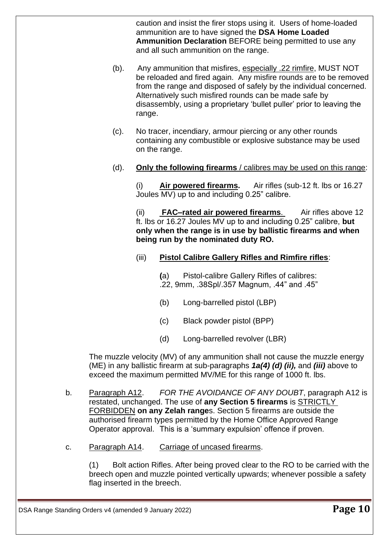caution and insist the firer stops using it. Users of home-loaded ammunition are to have signed the **DSA Home Loaded Ammunition Declaration** BEFORE being permitted to use any and all such ammunition on the range.

- (b). Any ammunition that misfires, especially .22 rimfire, MUST NOT be reloaded and fired again. Any misfire rounds are to be removed from the range and disposed of safely by the individual concerned. Alternatively such misfired rounds can be made safe by disassembly, using a proprietary 'bullet puller' prior to leaving the range.
- (c). No tracer, incendiary, armour piercing or any other rounds containing any combustible or explosive substance may be used on the range.
- (d). **Only the following firearms** / calibres may be used on this range:

(i) **Air powered firearms.** Air rifles (sub-12 ft. lbs or 16.27 Joules MV) up to and including 0.25" calibre.

(ii) **FAC–rated air powered firearms**. Air rifles above 12 ft. lbs or 16.27 Joules MV up to and including 0.25" calibre, **but only when the range is in use by ballistic firearms and when being run by the nominated duty RO.**

(iii) **Pistol Calibre Gallery Rifles and Rimfire rifles**:

**(**a) Pistol-calibre Gallery Rifles of calibres: .22, 9mm, .38Spl/.357 Magnum, .44" and .45"

- (b) Long-barrelled pistol (LBP)
- (c) Black powder pistol (BPP)
- (d) Long-barrelled revolver (LBR)

The muzzle velocity (MV) of any ammunition shall not cause the muzzle energy (ME) in any ballistic firearm at sub-paragraphs *1a(4) (d) (ii),* and *(iii)* above to exceed the maximum permitted MV/ME for this range of 1000 ft. lbs.

- b. Paragraph A12. *FOR THE AVOIDANCE OF ANY DOUBT*, paragraph A12 is restated, unchanged. The use of **any Section 5 firearms** is STRICTLY FORBIDDEN **on any Zelah range**s. Section 5 firearms are outside the authorised firearm types permitted by the Home Office Approved Range Operator approval. This is a 'summary expulsion' offence if proven.
- c. Paragraph A14. Carriage of uncased firearms.

(1) Bolt action Rifles. After being proved clear to the RO to be carried with the breech open and muzzle pointed vertically upwards; whenever possible a safety flag inserted in the breech.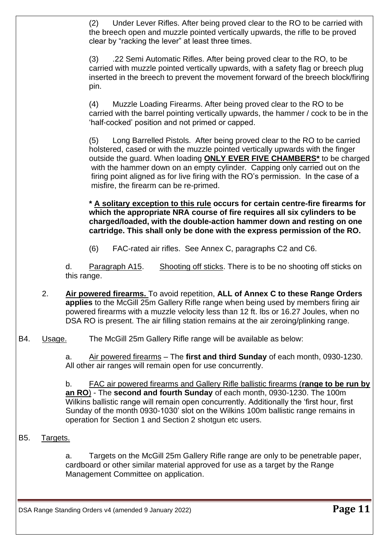(2) Under Lever Rifles. After being proved clear to the RO to be carried with the breech open and muzzle pointed vertically upwards, the rifle to be proved clear by "racking the lever" at least three times.

(3) .22 Semi Automatic Rifles. After being proved clear to the RO, to be carried with muzzle pointed vertically upwards, with a safety flag or breech plug inserted in the breech to prevent the movement forward of the breech block/firing pin.

(4) Muzzle Loading Firearms. After being proved clear to the RO to be carried with the barrel pointing vertically upwards, the hammer / cock to be in the 'half-cocked' position and not primed or capped.

(5) Long Barrelled Pistols. After being proved clear to the RO to be carried holstered, cased or with the muzzle pointed vertically upwards with the finger outside the guard. When loading **ONLY EVER FIVE CHAMBERS\*** to be charged with the hammer down on an empty cylinder. Capping only carried out on the firing point aligned as for live firing with the RO's permission. In the case of a misfire, the firearm can be re-primed.

**\* A solitary exception to this rule occurs for certain centre-fire firearms for which the appropriate NRA course of fire requires all six cylinders to be charged/loaded, with the double-action hammer down and resting on one cartridge. This shall only be done with the express permission of the RO.**

(6) FAC-rated air rifles. See Annex C, paragraphs C2 and C6.

d. Paragraph A15. Shooting off sticks. There is to be no shooting off sticks on this range.

- 2. **Air powered firearms.** To avoid repetition, **ALL of Annex C to these Range Orders applies** to the McGill 25m Gallery Rifle range when being used by members firing air powered firearms with a muzzle velocity less than 12 ft. lbs or 16.27 Joules, when no DSA RO is present. The air filling station remains at the air zeroing/plinking range.
- B4. Usage. The McGill 25m Gallery Rifle range will be available as below:

a. Air powered firearms – The **first and third Sunday** of each month, 0930-1230. All other air ranges will remain open for use concurrently.

b. FAC air powered firearms and Gallery Rifle ballistic firearms (**range to be run by an RO**) - The **second and fourth Sunday** of each month, 0930-1230. The 100m Wilkins ballistic range will remain open concurrently. Additionally the 'first hour, first Sunday of the month 0930-1030' slot on the Wilkins 100m ballistic range remains in operation for Section 1 and Section 2 shotgun etc users.

B5. Targets.

a. Targets on the McGill 25m Gallery Rifle range are only to be penetrable paper, cardboard or other similar material approved for use as a target by the Range Management Committee on application.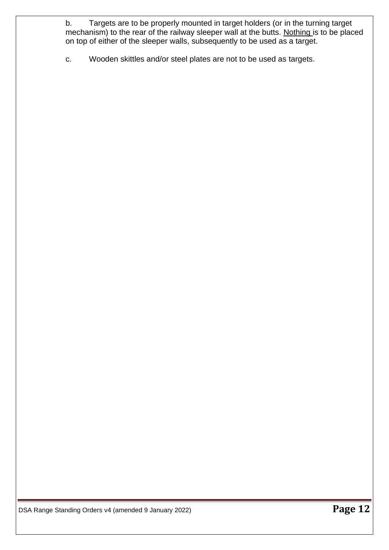b. Targets are to be properly mounted in target holders (or in the turning target mechanism) to the rear of the railway sleeper wall at the butts. Nothing is to be placed on top of either of the sleeper walls, subsequently to be used as a target.

c. Wooden skittles and/or steel plates are not to be used as targets.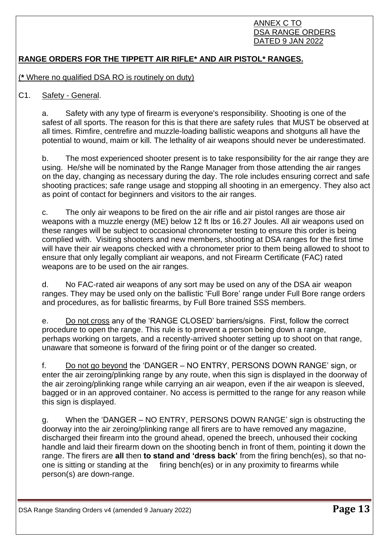#### ANNEX C TO DSA RANGE ORDERS DATED 9 JAN 2022

# **RANGE ORDERS FOR THE TIPPETT AIR RIFLE\* AND AIR PISTOL\* RANGES.**

(**\*** Where no qualified DSA RO is routinely on duty)

#### C1. Safety - General.

a. Safety with any type of firearm is everyone's responsibility. Shooting is one of the safest of all sports. The reason for this is that there are safety rules that MUST be observed at all times. Rimfire, centrefire and muzzle-loading ballistic weapons and shotguns all have the potential to wound, maim or kill. The lethality of air weapons should never be underestimated.

b. The most experienced shooter present is to take responsibility for the air range they are using. He/she will be nominated by the Range Manager from those attending the air ranges on the day, changing as necessary during the day. The role includes ensuring correct and safe shooting practices; safe range usage and stopping all shooting in an emergency. They also act as point of contact for beginners and visitors to the air ranges.

c. The only air weapons to be fired on the air rifle and air pistol ranges are those air weapons with a muzzle energy (ME) below 12 ft lbs or 16.27 Joules. All air weapons used on these ranges will be subject to occasional chronometer testing to ensure this order is being complied with. Visiting shooters and new members, shooting at DSA ranges for the first time will have their air weapons checked with a chronometer prior to them being allowed to shoot to ensure that only legally compliant air weapons, and not Firearm Certificate (FAC) rated weapons are to be used on the air ranges.

d. No FAC-rated air weapons of any sort may be used on any of the DSA air weapon ranges. They may be used only on the ballistic 'Full Bore' range under Full Bore range orders and procedures, as for ballistic firearms, by Full Bore trained SSS members.

e. Do not cross any of the 'RANGE CLOSED' barriers/signs. First, follow the correct procedure to open the range. This rule is to prevent a person being down a range, perhaps working on targets, and a recently-arrived shooter setting up to shoot on that range, unaware that someone is forward of the firing point or of the danger so created.

f. Do not go beyond the 'DANGER – NO ENTRY, PERSONS DOWN RANGE' sign, or enter the air zeroing/plinking range by any route, when this sign is displayed in the doorway of the air zeroing/plinking range while carrying an air weapon, even if the air weapon is sleeved, bagged or in an approved container. No access is permitted to the range for any reason while this sign is displayed.

g. When the 'DANGER – NO ENTRY, PERSONS DOWN RANGE' sign is obstructing the doorway into the air zeroing/plinking range all firers are to have removed any magazine, discharged their firearm into the ground ahead, opened the breech, unhoused their cocking handle and laid their firearm down on the shooting bench in front of them, pointing it down the range. The firers are **all** then **to stand and 'dress back'** from the firing bench(es), so that noone is sitting or standing at the firing bench(es) or in any proximity to firearms while person(s) are down-range.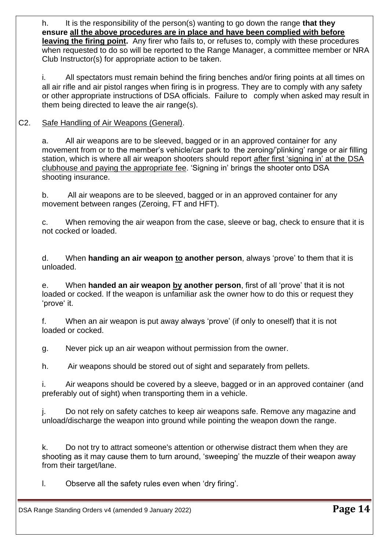h. It is the responsibility of the person(s) wanting to go down the range **that they ensure all the above procedures are in place and have been complied with before leaving the firing point.** Any firer who fails to, or refuses to, comply with these procedures when requested to do so will be reported to the Range Manager, a committee member or NRA Club Instructor(s) for appropriate action to be taken.

i. All spectators must remain behind the firing benches and/or firing points at all times on all air rifle and air pistol ranges when firing is in progress. They are to comply with any safety or other appropriate instructions of DSA officials. Failure to comply when asked may result in them being directed to leave the air range(s).

# C2. Safe Handling of Air Weapons (General).

a. All air weapons are to be sleeved, bagged or in an approved container for any movement from or to the member's vehicle/car park to the zeroing/'plinking' range or air filling station, which is where all air weapon shooters should report after first 'signing in' at the DSA clubhouse and paying the appropriate fee. 'Signing in' brings the shooter onto DSA shooting insurance.

b. All air weapons are to be sleeved, bagged or in an approved container for any movement between ranges (Zeroing, FT and HFT).

c. When removing the air weapon from the case, sleeve or bag, check to ensure that it is not cocked or loaded.

d. When **handing an air weapon to another person**, always 'prove' to them that it is unloaded.

e. When **handed an air weapon by another person**, first of all 'prove' that it is not loaded or cocked. If the weapon is unfamiliar ask the owner how to do this or request they 'prove' it.

f. When an air weapon is put away always 'prove' (if only to oneself) that it is not loaded or cocked.

g. Never pick up an air weapon without permission from the owner.

h. Air weapons should be stored out of sight and separately from pellets.

i. Air weapons should be covered by a sleeve, bagged or in an approved container (and preferably out of sight) when transporting them in a vehicle.

j. Do not rely on safety catches to keep air weapons safe. Remove any magazine and unload/discharge the weapon into ground while pointing the weapon down the range.

k. Do not try to attract someone's attention or otherwise distract them when they are shooting as it may cause them to turn around, 'sweeping' the muzzle of their weapon away from their target/lane.

l. Observe all the safety rules even when 'dry firing'.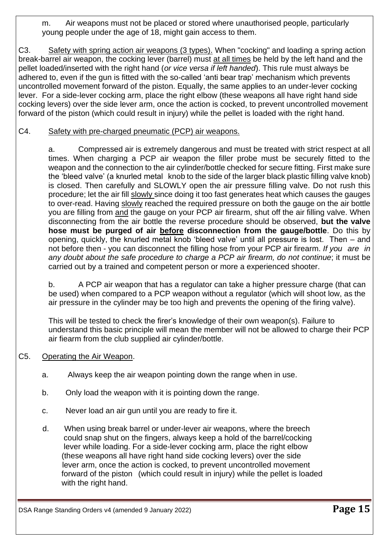m. Air weapons must not be placed or stored where unauthorised people, particularly young people under the age of 18, might gain access to them.

C3. Safety with spring action air weapons (3 types). When "cocking" and loading a spring action break-barrel air weapon, the cocking lever (barrel) must at all times be held by the left hand and the pellet loaded/inserted with the right hand (*or vice versa if left handed*). This rule must always be adhered to, even if the gun is fitted with the so-called 'anti bear trap' mechanism which prevents uncontrolled movement forward of the piston. Equally, the same applies to an under-lever cocking lever. For a side-lever cocking arm, place the right elbow (these weapons all have right hand side cocking levers) over the side lever arm, once the action is cocked, to prevent uncontrolled movement forward of the piston (which could result in injury) while the pellet is loaded with the right hand.

### C4. Safety with pre-charged pneumatic (PCP) air weapons.

a. Compressed air is extremely dangerous and must be treated with strict respect at all times. When charging a PCP air weapon the filler probe must be securely fitted to the weapon and the connection to the air cylinder/bottle checked for secure fitting. First make sure the 'bleed valve' (a knurled metal knob to the side of the larger black plastic filling valve knob) is closed. Then carefully and SLOWLY open the air pressure filling valve. Do not rush this procedure; let the air fill slowly since doing it too fast generates heat which causes the gauges to over-read. Having slowly reached the required pressure on both the gauge on the air bottle you are filling from and the gauge on your PCP air firearm, shut off the air filling valve. When disconnecting from the air bottle the reverse procedure should be observed, **but the valve hose must be purged of air before disconnection from the gauge/bottle**. Do this by opening, quickly, the knurled metal knob 'bleed valve' until all pressure is lost. Then – and not before then - you can disconnect the filling hose from your PCP air firearm. *If you are in any doubt about the safe procedure to charge a PCP air firearm, do not continue*; it must be carried out by a trained and competent person or more a experienced shooter.

b. A PCP air weapon that has a regulator can take a higher pressure charge (that can be used) when compared to a PCP weapon without a regulator (which will shoot low, as the air pressure in the cylinder may be too high and prevents the opening of the firing valve).

This will be tested to check the firer's knowledge of their own weapon(s). Failure to understand this basic principle will mean the member will not be allowed to charge their PCP air fiearm from the club supplied air cylinder/bottle.

# C5. Operating the Air Weapon.

- a. Always keep the air weapon pointing down the range when in use.
- b. Only load the weapon with it is pointing down the range.
- c. Never load an air gun until you are ready to fire it.
- d. When using break barrel or under-lever air weapons, where the breech could snap shut on the fingers, always keep a hold of the barrel/cocking lever while loading. For a side-lever cocking arm, place the right elbow (these weapons all have right hand side cocking levers) over the side lever arm, once the action is cocked, to prevent uncontrolled movement forward of the piston (which could result in injury) while the pellet is loaded with the right hand.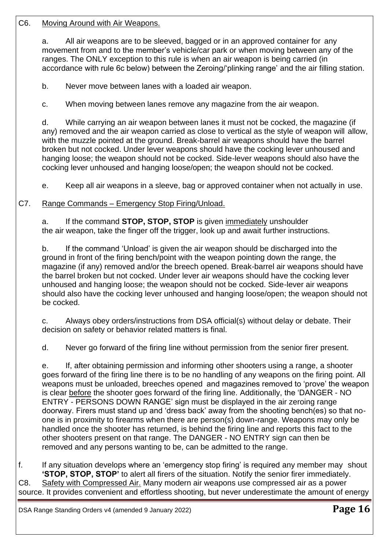#### C6. Moving Around with Air Weapons.

a. All air weapons are to be sleeved, bagged or in an approved container for any movement from and to the member's vehicle/car park or when moving between any of the ranges. The ONLY exception to this rule is when an air weapon is being carried (in accordance with rule 6c below) between the Zeroing/'plinking range' and the air filling station.

b. Never move between lanes with a loaded air weapon.

c. When moving between lanes remove any magazine from the air weapon.

d. While carrying an air weapon between lanes it must not be cocked, the magazine (if any) removed and the air weapon carried as close to vertical as the style of weapon will allow, with the muzzle pointed at the ground. Break-barrel air weapons should have the barrel broken but not cocked. Under lever weapons should have the cocking lever unhoused and hanging loose; the weapon should not be cocked. Side-lever weapons should also have the cocking lever unhoused and hanging loose/open; the weapon should not be cocked.

e. Keep all air weapons in a sleeve, bag or approved container when not actually in use.

# C7. Range Commands – Emergency Stop Firing/Unload.

a. If the command **STOP, STOP, STOP** is given immediately unshoulder the air weapon, take the finger off the trigger, look up and await further instructions.

b. If the command 'Unload' is given the air weapon should be discharged into the ground in front of the firing bench/point with the weapon pointing down the range, the magazine (if any) removed and/or the breech opened. Break-barrel air weapons should have the barrel broken but not cocked. Under lever air weapons should have the cocking lever unhoused and hanging loose; the weapon should not be cocked. Side-lever air weapons should also have the cocking lever unhoused and hanging loose/open; the weapon should not be cocked.

c. Always obey orders/instructions from DSA official(s) without delay or debate. Their decision on safety or behavior related matters is final.

d. Never go forward of the firing line without permission from the senior firer present.

e. If, after obtaining permission and informing other shooters using a range, a shooter goes forward of the firing line there is to be no handling of any weapons on the firing point. All weapons must be unloaded, breeches opened and magazines removed to 'prove' the weapon is clear before the shooter goes forward of the firing line. Additionally, the 'DANGER - NO ENTRY - PERSONS DOWN RANGE' sign must be displayed in the air zeroing range doorway. Firers must stand up and 'dress back' away from the shooting bench(es) so that noone is in proximity to firearms when there are person(s) down-range. Weapons may only be handled once the shooter has returned, is behind the firing line and reports this fact to the other shooters present on that range. The DANGER - NO ENTRY sign can then be removed and any persons wanting to be, can be admitted to the range.

f. If any situation develops where an 'emergency stop firing' is required any member may shout **'STOP, STOP, STOP'** to alert all firers of the situation. Notify the senior firer immediately. C8. Safety with Compressed Air. Many modern air weapons use compressed air as a power source. It provides convenient and effortless shooting, but never underestimate the amount of energy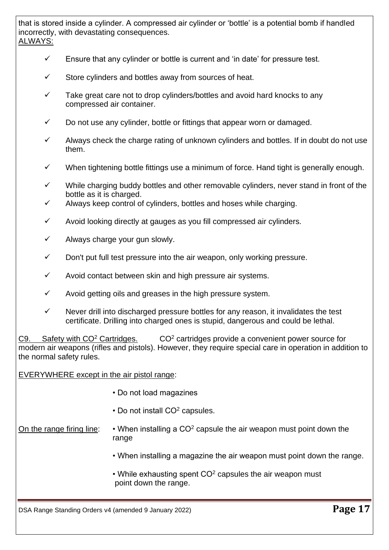#### that is stored inside a cylinder. A compressed air cylinder or 'bottle' is a potential bomb if handled incorrectly, with devastating consequences. ALWAYS:

- $\checkmark$  Ensure that any cylinder or bottle is current and 'in date' for pressure test.
- ✓ Store cylinders and bottles away from sources of heat.
- $\checkmark$  Take great care not to drop cylinders/bottles and avoid hard knocks to any compressed air container.
- $\checkmark$  Do not use any cylinder, bottle or fittings that appear worn or damaged.
- $\checkmark$  Always check the charge rating of unknown cylinders and bottles. If in doubt do not use them.
- $\checkmark$  When tightening bottle fittings use a minimum of force. Hand tight is generally enough.
- ✓ While charging buddy bottles and other removable cylinders, never stand in front of the bottle as it is charged.
- Always keep control of cylinders, bottles and hoses while charging.
- $\checkmark$  Avoid looking directly at gauges as you fill compressed air cylinders.
- $\checkmark$  Always charge your gun slowly.
- $\checkmark$  Don't put full test pressure into the air weapon, only working pressure.
- $\checkmark$  Avoid contact between skin and high pressure air systems.
- $\checkmark$  Avoid getting oils and greases in the high pressure system.
- $\checkmark$  Never drill into discharged pressure bottles for any reason, it invalidates the test certificate. Drilling into charged ones is stupid, dangerous and could be lethal.

C9. Safety with  $CO<sup>2</sup>$  Cartridges.  $CO<sup>2</sup>$  cartridges provide a convenient power source for modern air weapons (rifles and pistols). However, they require special care in operation in addition to the normal safety rules.

#### EVERYWHERE except in the air pistol range:

- Do not load magazines
- $\cdot$  Do not install CO<sup>2</sup> capsules.

On the range firing line:  $\cdot \cdot$  When installing a CO<sup>2</sup> capsule the air weapon must point down the range

- When installing a magazine the air weapon must point down the range.
- While exhausting spent  $CO<sup>2</sup>$  capsules the air weapon must point down the range.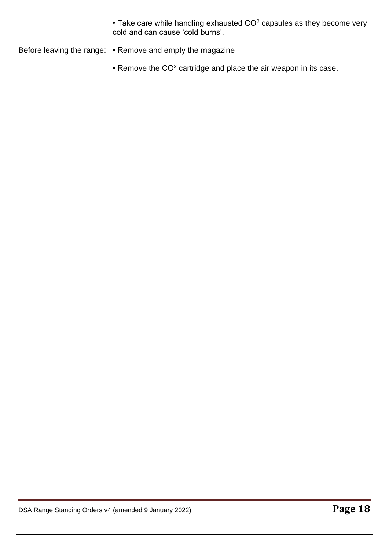$\bullet$  Take care while handling exhausted CO<sup>2</sup> capsules as they become very cold and can cause 'cold burns'.

Before leaving the range: • Remove and empty the magazine

• Remove the CO<sup>2</sup> cartridge and place the air weapon in its case.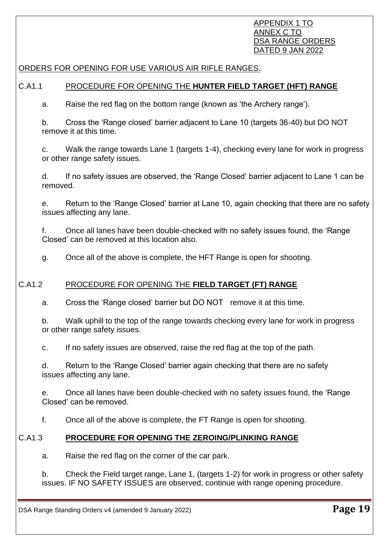#### APPENDIX 1 TO ANNEX C TO DSA RANGE ORDERS DATED 9 JAN 2022

### ORDERS FOR OPENING FOR USE VARIOUS AIR RIFLE RANGES.

#### C.A1.1 PROCEDURE FOR OPENING THE **HUNTER FIELD TARGET (HFT) RANGE**

a. Raise the red flag on the bottom range (known as 'the Archery range').

b. Cross the 'Range closed' barrier adjacent to Lane 10 (targets 36-40) but DO NOT remove it at this time.

c. Walk the range towards Lane 1 (targets 1-4), checking every lane for work in progress or other range safety issues.

d. If no safety issues are observed, the 'Range Closed' barrier adjacent to Lane 1 can be removed.

e. Return to the 'Range Closed' barrier at Lane 10, again checking that there are no safety issues affecting any lane.

f. Once all lanes have been double-checked with no safety issues found, the 'Range Closed' can be removed at this location also.

g. Once all of the above is complete, the HFT Range is open for shooting.

# C.A1.2 PROCEDURE FOR OPENING THE **FIELD TARGET (FT) RANGE**

a. Cross the 'Range closed' barrier but DO NOT remove it at this time.

b. Walk uphill to the top of the range towards checking every lane for work in progress or other range safety issues.

c. If no safety issues are observed, raise the red flag at the top of the path.

d. Return to the 'Range Closed' barrier again checking that there are no safety issues affecting any lane.

e. Once all lanes have been double-checked with no safety issues found, the 'Range Closed' can be removed.

f. Once all of the above is complete, the FT Range is open for shooting.

# C.A1.3 **PROCEDURE FOR OPENING THE ZEROING/PLINKING RANGE**

a. Raise the red flag on the corner of the car park.

b. Check the Field target range, Lane 1, (targets 1-2) for work in progress or other safety issues. IF NO SAFETY ISSUES are observed, continue with range opening procedure.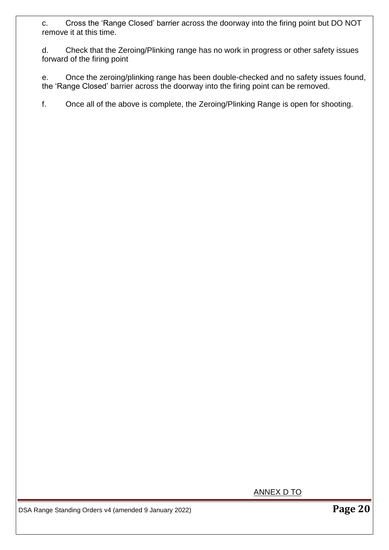c. Cross the 'Range Closed' barrier across the doorway into the firing point but DO NOT remove it at this time.

d. Check that the Zeroing/Plinking range has no work in progress or other safety issues forward of the firing point

e. Once the zeroing/plinking range has been double-checked and no safety issues found, the 'Range Closed' barrier across the doorway into the firing point can be removed.

f. Once all of the above is complete, the Zeroing/Plinking Range is open for shooting.

ANNEX D TO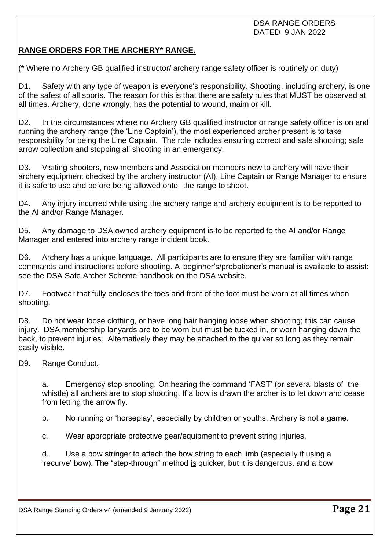# DSA RANGE ORDERS DATED 9 JAN 2022

# **RANGE ORDERS FOR THE ARCHERY\* RANGE.**

# (**\*** Where no Archery GB qualified instructor/ archery range safety officer is routinely on duty)

D1. Safety with any type of weapon is everyone's responsibility. Shooting, including archery, is one of the safest of all sports. The reason for this is that there are safety rules that MUST be observed at all times. Archery, done wrongly, has the potential to wound, maim or kill.

D2. In the circumstances where no Archery GB qualified instructor or range safety officer is on and running the archery range (the 'Line Captain'), the most experienced archer present is to take responsibility for being the Line Captain. The role includes ensuring correct and safe shooting; safe arrow collection and stopping all shooting in an emergency.

D3. Visiting shooters, new members and Association members new to archery will have their archery equipment checked by the archery instructor (AI), Line Captain or Range Manager to ensure it is safe to use and before being allowed onto the range to shoot.

D4. Any injury incurred while using the archery range and archery equipment is to be reported to the AI and/or Range Manager.

D5. Any damage to DSA owned archery equipment is to be reported to the AI and/or Range Manager and entered into archery range incident book.

D6. Archery has a unique language. All participants are to ensure they are familiar with range commands and instructions before shooting. A beginner's/probationer's manual is available to assist: see the DSA Safe Archer Scheme handbook on the DSA website.

D7. Footwear that fully encloses the toes and front of the foot must be worn at all times when shooting.

D8. Do not wear loose clothing, or have long hair hanging loose when shooting; this can cause injury. DSA membership lanyards are to be worn but must be tucked in, or worn hanging down the back, to prevent injuries. Alternatively they may be attached to the quiver so long as they remain easily visible.

# D9. Range Conduct.

a. Emergency stop shooting. On hearing the command 'FAST' (or several blasts of the whistle) all archers are to stop shooting. If a bow is drawn the archer is to let down and cease from letting the arrow fly.

b. No running or 'horseplay', especially by children or youths. Archery is not a game.

c. Wear appropriate protective gear/equipment to prevent string injuries.

d. Use a bow stringer to attach the bow string to each limb (especially if using a 'recurve' bow). The "step-through" method is quicker, but it is dangerous, and a bow